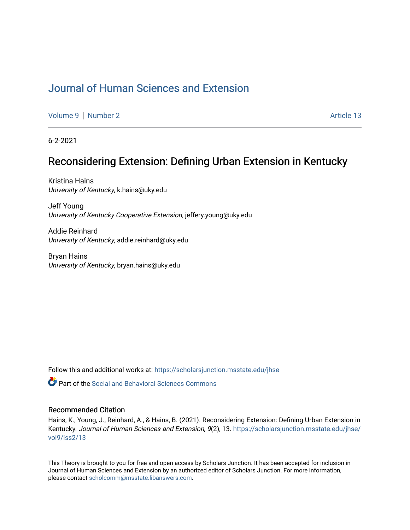# [Journal of Human Sciences and Extension](https://scholarsjunction.msstate.edu/jhse)

[Volume 9](https://scholarsjunction.msstate.edu/jhse/vol9) | [Number 2](https://scholarsjunction.msstate.edu/jhse/vol9/iss2) Article 13

6-2-2021

# Reconsidering Extension: Defining Urban Extension in Kentucky

Kristina Hains University of Kentucky, k.hains@uky.edu

Jeff Young University of Kentucky Cooperative Extension, jeffery.young@uky.edu

Addie Reinhard University of Kentucky, addie.reinhard@uky.edu

Bryan Hains University of Kentucky, bryan.hains@uky.edu

Follow this and additional works at: [https://scholarsjunction.msstate.edu/jhse](https://scholarsjunction.msstate.edu/jhse?utm_source=scholarsjunction.msstate.edu%2Fjhse%2Fvol9%2Fiss2%2F13&utm_medium=PDF&utm_campaign=PDFCoverPages)

**C** Part of the Social and Behavioral Sciences Commons

#### Recommended Citation

Hains, K., Young, J., Reinhard, A., & Hains, B. (2021). Reconsidering Extension: Defining Urban Extension in Kentucky. Journal of Human Sciences and Extension, 9(2), 13. [https://scholarsjunction.msstate.edu/jhse/](https://scholarsjunction.msstate.edu/jhse/vol9/iss2/13?utm_source=scholarsjunction.msstate.edu%2Fjhse%2Fvol9%2Fiss2%2F13&utm_medium=PDF&utm_campaign=PDFCoverPages) [vol9/iss2/13](https://scholarsjunction.msstate.edu/jhse/vol9/iss2/13?utm_source=scholarsjunction.msstate.edu%2Fjhse%2Fvol9%2Fiss2%2F13&utm_medium=PDF&utm_campaign=PDFCoverPages)

This Theory is brought to you for free and open access by Scholars Junction. It has been accepted for inclusion in Journal of Human Sciences and Extension by an authorized editor of Scholars Junction. For more information, please contact [scholcomm@msstate.libanswers.com.](mailto:scholcomm@msstate.libanswers.com)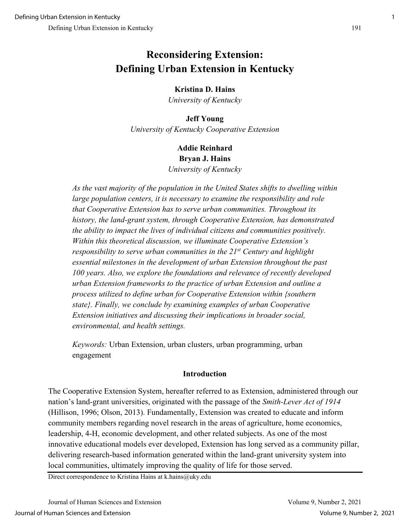# **Reconsidering Extension: Defining Urban Extension in Kentucky**

## **Kristina D. Hains**

*University of Kentucky*

# **Jeff Young**  *University of Kentucky Cooperative Extension*

## **Addie Reinhard Bryan J. Hains** *University of Kentucky*

*As the vast majority of the population in the United States shifts to dwelling within large population centers, it is necessary to examine the responsibility and role that Cooperative Extension has to serve urban communities. Throughout its history, the land-grant system, through Cooperative Extension, has demonstrated the ability to impact the lives of individual citizens and communities positively. Within this theoretical discussion, we illuminate Cooperative Extension's responsibility to serve urban communities in the 21st Century and highlight essential milestones in the development of urban Extension throughout the past 100 years. Also, we explore the foundations and relevance of recently developed urban Extension frameworks to the practice of urban Extension and outline a process utilized to define urban for Cooperative Extension within {southern state}. Finally, we conclude by examining examples of urban Cooperative Extension initiatives and discussing their implications in broader social, environmental, and health settings.* 

*Keywords:* Urban Extension, urban clusters, urban programming, urban engagement

#### **Introduction**

The Cooperative Extension System, hereafter referred to as Extension, administered through our nation's land-grant universities, originated with the passage of the *Smith-Lever Act of 1914* (Hillison, 1996; Olson, 2013). Fundamentally, Extension was created to educate and inform community members regarding novel research in the areas of agriculture, home economics, leadership, 4-H, economic development, and other related subjects. As one of the most innovative educational models ever developed, Extension has long served as a community pillar, delivering research-based information generated within the land-grant university system into local communities, ultimately improving the quality of life for those served.

Direct correspondence to Kristina Hains at k.hains@uky.edu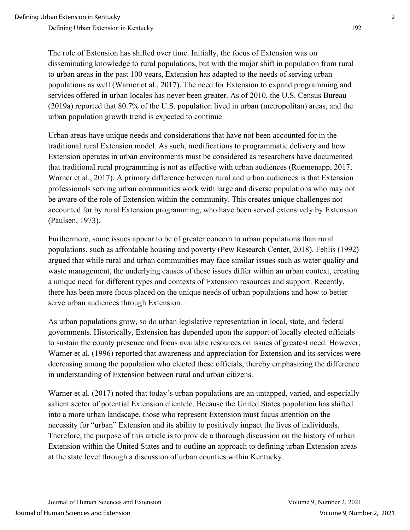The role of Extension has shifted over time. Initially, the focus of Extension was on disseminating knowledge to rural populations, but with the major shift in population from rural to urban areas in the past 100 years, Extension has adapted to the needs of serving urban populations as well (Warner et al., 2017). The need for Extension to expand programming and services offered in urban locales has never been greater. As of 2010, the U.S. Census Bureau (2019a) reported that 80.7% of the U.S. population lived in urban (metropolitan) areas, and the urban population growth trend is expected to continue.

Urban areas have unique needs and considerations that have not been accounted for in the traditional rural Extension model. As such, modifications to programmatic delivery and how Extension operates in urban environments must be considered as researchers have documented that traditional rural programming is not as effective with urban audiences (Ruemenapp, 2017; Warner et al., 2017). A primary difference between rural and urban audiences is that Extension professionals serving urban communities work with large and diverse populations who may not be aware of the role of Extension within the community. This creates unique challenges not accounted for by rural Extension programming, who have been served extensively by Extension (Paulsen, 1973).

Furthermore, some issues appear to be of greater concern to urban populations than rural populations, such as affordable housing and poverty (Pew Research Center, 2018). Fehlis (1992) argued that while rural and urban communities may face similar issues such as water quality and waste management, the underlying causes of these issues differ within an urban context, creating a unique need for different types and contexts of Extension resources and support. Recently, there has been more focus placed on the unique needs of urban populations and how to better serve urban audiences through Extension.

As urban populations grow, so do urban legislative representation in local, state, and federal governments. Historically, Extension has depended upon the support of locally elected officials to sustain the county presence and focus available resources on issues of greatest need. However, Warner et al. (1996) reported that awareness and appreciation for Extension and its services were decreasing among the population who elected these officials, thereby emphasizing the difference in understanding of Extension between rural and urban citizens.

Warner et al. (2017) noted that today's urban populations are an untapped, varied, and especially salient sector of potential Extension clientele. Because the United States population has shifted into a more urban landscape, those who represent Extension must focus attention on the necessity for "urban" Extension and its ability to positively impact the lives of individuals. Therefore, the purpose of this article is to provide a thorough discussion on the history of urban Extension within the United States and to outline an approach to defining urban Extension areas at the state level through a discussion of urban counties within Kentucky.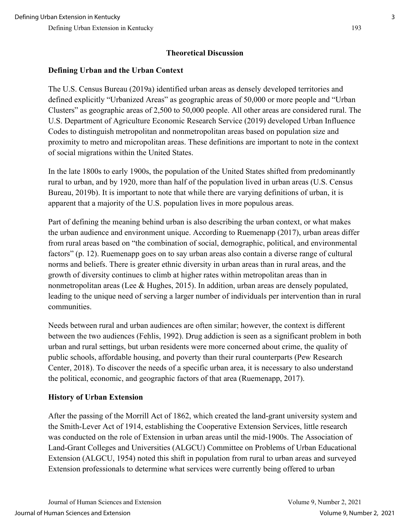## **Theoretical Discussion**

## **Defining Urban and the Urban Context**

The U.S. Census Bureau (2019a) identified urban areas as densely developed territories and defined explicitly "Urbanized Areas" as geographic areas of 50,000 or more people and "Urban Clusters" as geographic areas of 2,500 to 50,000 people. All other areas are considered rural. The U.S. Department of Agriculture Economic Research Service (2019) developed Urban Influence Codes to distinguish metropolitan and nonmetropolitan areas based on population size and proximity to metro and micropolitan areas. These definitions are important to note in the context of social migrations within the United States.

In the late 1800s to early 1900s, the population of the United States shifted from predominantly rural to urban, and by 1920, more than half of the population lived in urban areas (U.S. Census Bureau, 2019b). It is important to note that while there are varying definitions of urban, it is apparent that a majority of the U.S. population lives in more populous areas.

Part of defining the meaning behind urban is also describing the urban context, or what makes the urban audience and environment unique. According to Ruemenapp (2017), urban areas differ from rural areas based on "the combination of social, demographic, political, and environmental factors" (p. 12). Ruemenapp goes on to say urban areas also contain a diverse range of cultural norms and beliefs. There is greater ethnic diversity in urban areas than in rural areas, and the growth of diversity continues to climb at higher rates within metropolitan areas than in nonmetropolitan areas (Lee & Hughes, 2015). In addition, urban areas are densely populated, leading to the unique need of serving a larger number of individuals per intervention than in rural communities.

Needs between rural and urban audiences are often similar; however, the context is different between the two audiences (Fehlis, 1992). Drug addiction is seen as a significant problem in both urban and rural settings, but urban residents were more concerned about crime, the quality of public schools, affordable housing, and poverty than their rural counterparts (Pew Research Center, 2018). To discover the needs of a specific urban area, it is necessary to also understand the political, economic, and geographic factors of that area (Ruemenapp, 2017).

#### **History of Urban Extension**

After the passing of the Morrill Act of 1862, which created the land-grant university system and the Smith-Lever Act of 1914, establishing the Cooperative Extension Services, little research was conducted on the role of Extension in urban areas until the mid-1900s. The Association of Land-Grant Colleges and Universities (ALGCU) Committee on Problems of Urban Educational Extension (ALGCU, 1954) noted this shift in population from rural to urban areas and surveyed Extension professionals to determine what services were currently being offered to urban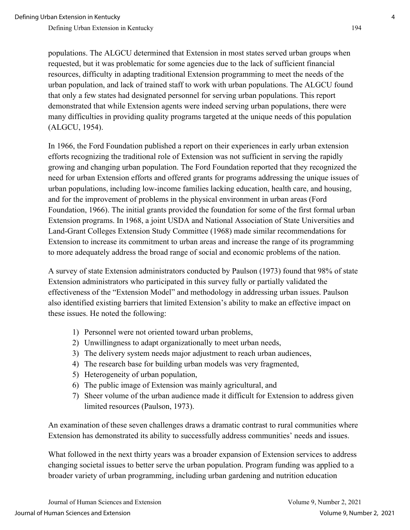populations. The ALGCU determined that Extension in most states served urban groups when requested, but it was problematic for some agencies due to the lack of sufficient financial resources, difficulty in adapting traditional Extension programming to meet the needs of the urban population, and lack of trained staff to work with urban populations. The ALGCU found that only a few states had designated personnel for serving urban populations. This report demonstrated that while Extension agents were indeed serving urban populations, there were many difficulties in providing quality programs targeted at the unique needs of this population (ALGCU, 1954).

In 1966, the Ford Foundation published a report on their experiences in early urban extension efforts recognizing the traditional role of Extension was not sufficient in serving the rapidly growing and changing urban population. The Ford Foundation reported that they recognized the need for urban Extension efforts and offered grants for programs addressing the unique issues of urban populations, including low-income families lacking education, health care, and housing, and for the improvement of problems in the physical environment in urban areas (Ford Foundation, 1966). The initial grants provided the foundation for some of the first formal urban Extension programs. In 1968, a joint USDA and National Association of State Universities and Land-Grant Colleges Extension Study Committee (1968) made similar recommendations for Extension to increase its commitment to urban areas and increase the range of its programming to more adequately address the broad range of social and economic problems of the nation.

A survey of state Extension administrators conducted by Paulson (1973) found that 98% of state Extension administrators who participated in this survey fully or partially validated the effectiveness of the "Extension Model" and methodology in addressing urban issues. Paulson also identified existing barriers that limited Extension's ability to make an effective impact on these issues. He noted the following:

- 1) Personnel were not oriented toward urban problems,
- 2) Unwillingness to adapt organizationally to meet urban needs,
- 3) The delivery system needs major adjustment to reach urban audiences,
- 4) The research base for building urban models was very fragmented,
- 5) Heterogeneity of urban population,
- 6) The public image of Extension was mainly agricultural, and
- 7) Sheer volume of the urban audience made it difficult for Extension to address given limited resources (Paulson, 1973).

An examination of these seven challenges draws a dramatic contrast to rural communities where Extension has demonstrated its ability to successfully address communities' needs and issues.

What followed in the next thirty years was a broader expansion of Extension services to address changing societal issues to better serve the urban population. Program funding was applied to a broader variety of urban programming, including urban gardening and nutrition education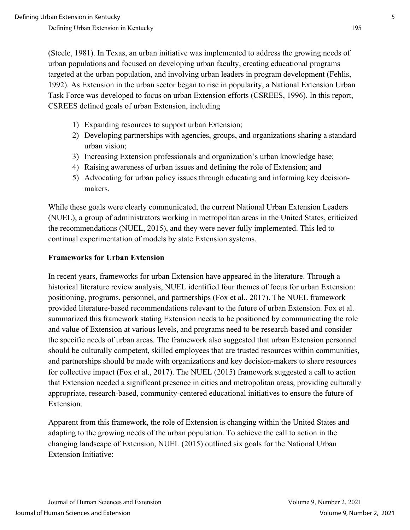(Steele, 1981). In Texas, an urban initiative was implemented to address the growing needs of urban populations and focused on developing urban faculty, creating educational programs targeted at the urban population, and involving urban leaders in program development (Fehlis, 1992). As Extension in the urban sector began to rise in popularity, a National Extension Urban Task Force was developed to focus on urban Extension efforts (CSREES, 1996). In this report, CSREES defined goals of urban Extension, including

- 1) Expanding resources to support urban Extension;
- 2) Developing partnerships with agencies, groups, and organizations sharing a standard urban vision;
- 3) Increasing Extension professionals and organization's urban knowledge base;
- 4) Raising awareness of urban issues and defining the role of Extension; and
- 5) Advocating for urban policy issues through educating and informing key decisionmakers.

While these goals were clearly communicated, the current National Urban Extension Leaders (NUEL), a group of administrators working in metropolitan areas in the United States, criticized the recommendations (NUEL, 2015), and they were never fully implemented. This led to continual experimentation of models by state Extension systems.

#### **Frameworks for Urban Extension**

In recent years, frameworks for urban Extension have appeared in the literature. Through a historical literature review analysis, NUEL identified four themes of focus for urban Extension: positioning, programs, personnel, and partnerships (Fox et al., 2017). The NUEL framework provided literature-based recommendations relevant to the future of urban Extension. Fox et al. summarized this framework stating Extension needs to be positioned by communicating the role and value of Extension at various levels, and programs need to be research-based and consider the specific needs of urban areas. The framework also suggested that urban Extension personnel should be culturally competent, skilled employees that are trusted resources within communities, and partnerships should be made with organizations and key decision-makers to share resources for collective impact (Fox et al., 2017). The NUEL (2015) framework suggested a call to action that Extension needed a significant presence in cities and metropolitan areas, providing culturally appropriate, research-based, community-centered educational initiatives to ensure the future of Extension.

Apparent from this framework, the role of Extension is changing within the United States and adapting to the growing needs of the urban population. To achieve the call to action in the changing landscape of Extension, NUEL (2015) outlined six goals for the National Urban Extension Initiative: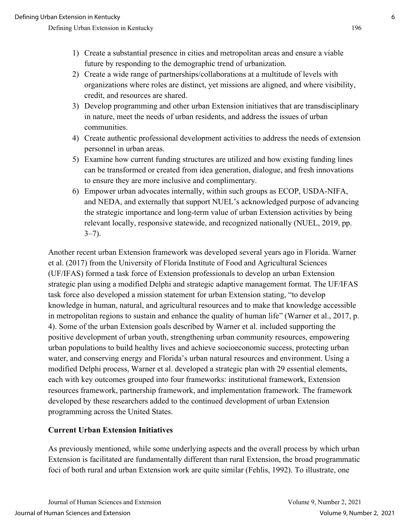- 2) Create a wide range of partnerships/collaborations at a multitude of levels with organizations where roles are distinct, yet missions are aligned, and where visibility, credit, and resources are shared.
- 3) Develop programming and other urban Extension initiatives that are transdisciplinary in nature, meet the needs of urban residents, and address the issues of urban communities.
- 4) Create authentic professional development activities to address the needs of extension personnel in urban areas.
- 5) Examine how current funding structures are utilized and how existing funding lines can be transformed or created from idea generation, dialogue, and fresh innovations to ensure they are more inclusive and complimentary.
- 6) Empower urban advocates internally, within such groups as ECOP, USDA-NIFA, and NEDA, and externally that support NUEL's acknowledged purpose of advancing the strategic importance and long-term value of urban Extension activities by being relevant locally, responsive statewide, and recognized nationally (NUEL, 2019, pp.  $3 - 7$ ).

Another recent urban Extension framework was developed several years ago in Florida. Warner et al. (2017) from the University of Florida Institute of Food and Agricultural Sciences (UF/IFAS) formed a task force of Extension professionals to develop an urban Extension strategic plan using a modified Delphi and strategic adaptive management format. The UF/IFAS task force also developed a mission statement for urban Extension stating, "to develop knowledge in human, natural, and agricultural resources and to make that knowledge accessible in metropolitan regions to sustain and enhance the quality of human life" (Warner et al., 2017, p. 4). Some of the urban Extension goals described by Warner et al. included supporting the positive development of urban youth, strengthening urban community resources, empowering urban populations to build healthy lives and achieve socioeconomic success, protecting urban water, and conserving energy and Florida's urban natural resources and environment. Using a modified Delphi process, Warner et al. developed a strategic plan with 29 essential elements, each with key outcomes grouped into four frameworks: institutional framework, Extension resources framework, partnership framework, and implementation framework. The framework developed by these researchers added to the continued development of urban Extension programming across the United States.

#### **Current Urban Extension Initiatives**

As previously mentioned, while some underlying aspects and the overall process by which urban Extension is facilitated are fundamentally different than rural Extension, the broad programmatic foci of both rural and urban Extension work are quite similar (Fehlis, 1992). To illustrate, one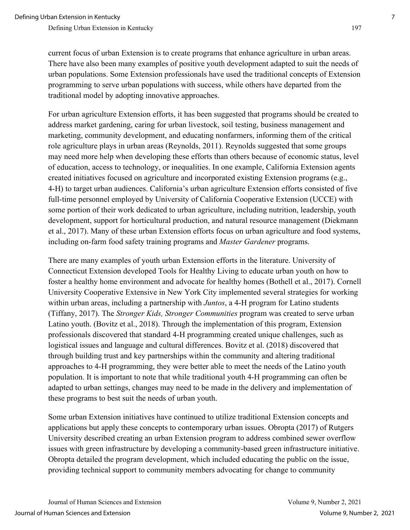current focus of urban Extension is to create programs that enhance agriculture in urban areas. There have also been many examples of positive youth development adapted to suit the needs of urban populations. Some Extension professionals have used the traditional concepts of Extension programming to serve urban populations with success, while others have departed from the traditional model by adopting innovative approaches.

For urban agriculture Extension efforts, it has been suggested that programs should be created to address market gardening, caring for urban livestock, soil testing, business management and marketing, community development, and educating nonfarmers, informing them of the critical role agriculture plays in urban areas (Reynolds, 2011). Reynolds suggested that some groups may need more help when developing these efforts than others because of economic status, level of education, access to technology, or inequalities. In one example, California Extension agents created initiatives focused on agriculture and incorporated existing Extension programs (e.g., 4-H) to target urban audiences. California's urban agriculture Extension efforts consisted of five full-time personnel employed by University of California Cooperative Extension (UCCE) with some portion of their work dedicated to urban agriculture, including nutrition, leadership, youth development, support for horticultural production, and natural resource management (Diekmann et al., 2017). Many of these urban Extension efforts focus on urban agriculture and food systems, including on-farm food safety training programs and *Master Gardener* programs.

There are many examples of youth urban Extension efforts in the literature. University of Connecticut Extension developed Tools for Healthy Living to educate urban youth on how to foster a healthy home environment and advocate for healthy homes (Bothell et al., 2017). Cornell University Cooperative Extensive in New York City implemented several strategies for working within urban areas, including a partnership with *Juntos*, a 4-H program for Latino students (Tiffany, 2017). The *Stronger Kids, Stronger Communities* program was created to serve urban Latino youth. (Bovitz et al., 2018). Through the implementation of this program, Extension professionals discovered that standard 4-H programming created unique challenges, such as logistical issues and language and cultural differences. Bovitz et al. (2018) discovered that through building trust and key partnerships within the community and altering traditional approaches to 4-H programming, they were better able to meet the needs of the Latino youth population. It is important to note that while traditional youth 4-H programming can often be adapted to urban settings, changes may need to be made in the delivery and implementation of these programs to best suit the needs of urban youth.

Some urban Extension initiatives have continued to utilize traditional Extension concepts and applications but apply these concepts to contemporary urban issues. Obropta (2017) of Rutgers University described creating an urban Extension program to address combined sewer overflow issues with green infrastructure by developing a community-based green infrastructure initiative. Obropta detailed the program development, which included educating the public on the issue, providing technical support to community members advocating for change to community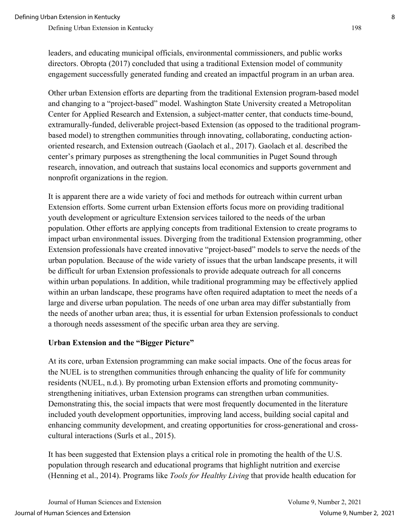leaders, and educating municipal officials, environmental commissioners, and public works directors. Obropta (2017) concluded that using a traditional Extension model of community engagement successfully generated funding and created an impactful program in an urban area.

Other urban Extension efforts are departing from the traditional Extension program-based model and changing to a "project-based" model. Washington State University created a Metropolitan Center for Applied Research and Extension, a subject-matter center, that conducts time-bound, extramurally-funded, deliverable project-based Extension (as opposed to the traditional programbased model) to strengthen communities through innovating, collaborating, conducting actionoriented research, and Extension outreach (Gaolach et al., 2017). Gaolach et al. described the center's primary purposes as strengthening the local communities in Puget Sound through research, innovation, and outreach that sustains local economics and supports government and nonprofit organizations in the region.

It is apparent there are a wide variety of foci and methods for outreach within current urban Extension efforts. Some current urban Extension efforts focus more on providing traditional youth development or agriculture Extension services tailored to the needs of the urban population. Other efforts are applying concepts from traditional Extension to create programs to impact urban environmental issues. Diverging from the traditional Extension programming, other Extension professionals have created innovative "project-based" models to serve the needs of the urban population. Because of the wide variety of issues that the urban landscape presents, it will be difficult for urban Extension professionals to provide adequate outreach for all concerns within urban populations. In addition, while traditional programming may be effectively applied within an urban landscape, these programs have often required adaptation to meet the needs of a large and diverse urban population. The needs of one urban area may differ substantially from the needs of another urban area; thus, it is essential for urban Extension professionals to conduct a thorough needs assessment of the specific urban area they are serving.

#### **Urban Extension and the "Bigger Picture"**

At its core, urban Extension programming can make social impacts. One of the focus areas for the NUEL is to strengthen communities through enhancing the quality of life for community residents (NUEL, n.d.). By promoting urban Extension efforts and promoting communitystrengthening initiatives, urban Extension programs can strengthen urban communities. Demonstrating this, the social impacts that were most frequently documented in the literature included youth development opportunities, improving land access, building social capital and enhancing community development, and creating opportunities for cross-generational and crosscultural interactions (Surls et al., 2015).

It has been suggested that Extension plays a critical role in promoting the health of the U.S. population through research and educational programs that highlight nutrition and exercise (Henning et al., 2014). Programs like *Tools for Healthy Living* that provide health education for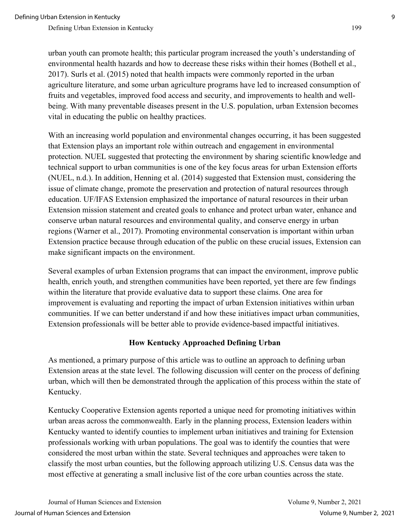urban youth can promote health; this particular program increased the youth's understanding of environmental health hazards and how to decrease these risks within their homes (Bothell et al., 2017). Surls et al. (2015) noted that health impacts were commonly reported in the urban agriculture literature, and some urban agriculture programs have led to increased consumption of fruits and vegetables, improved food access and security, and improvements to health and wellbeing. With many preventable diseases present in the U.S. population, urban Extension becomes vital in educating the public on healthy practices.

With an increasing world population and environmental changes occurring, it has been suggested that Extension plays an important role within outreach and engagement in environmental protection. NUEL suggested that protecting the environment by sharing scientific knowledge and technical support to urban communities is one of the key focus areas for urban Extension efforts (NUEL, n.d.). In addition, Henning et al. (2014) suggested that Extension must, considering the issue of climate change, promote the preservation and protection of natural resources through education. UF/IFAS Extension emphasized the importance of natural resources in their urban Extension mission statement and created goals to enhance and protect urban water, enhance and conserve urban natural resources and environmental quality, and conserve energy in urban regions (Warner et al., 2017). Promoting environmental conservation is important within urban Extension practice because through education of the public on these crucial issues, Extension can make significant impacts on the environment.

Several examples of urban Extension programs that can impact the environment, improve public health, enrich youth, and strengthen communities have been reported, yet there are few findings within the literature that provide evaluative data to support these claims. One area for improvement is evaluating and reporting the impact of urban Extension initiatives within urban communities. If we can better understand if and how these initiatives impact urban communities, Extension professionals will be better able to provide evidence-based impactful initiatives.

#### **How Kentucky Approached Defining Urban**

As mentioned, a primary purpose of this article was to outline an approach to defining urban Extension areas at the state level. The following discussion will center on the process of defining urban, which will then be demonstrated through the application of this process within the state of Kentucky.

Kentucky Cooperative Extension agents reported a unique need for promoting initiatives within urban areas across the commonwealth. Early in the planning process, Extension leaders within Kentucky wanted to identify counties to implement urban initiatives and training for Extension professionals working with urban populations. The goal was to identify the counties that were considered the most urban within the state. Several techniques and approaches were taken to classify the most urban counties, but the following approach utilizing U.S. Census data was the most effective at generating a small inclusive list of the core urban counties across the state.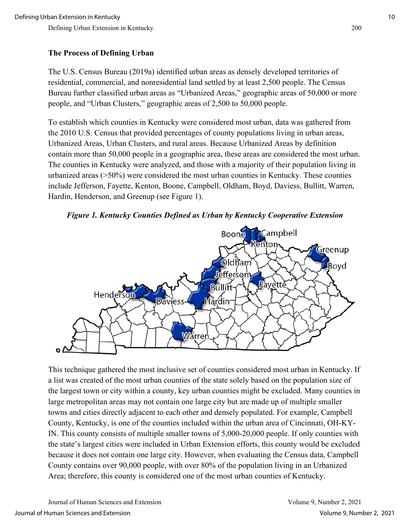## **The Process of Defining Urban**

The U.S. Census Bureau (2019a) identified urban areas as densely developed territories of residential, commercial, and nonresidential land settled by at least 2,500 people. The Census Bureau further classified urban areas as "Urbanized Areas," geographic areas of 50,000 or more people, and "Urban Clusters," geographic areas of 2,500 to 50,000 people.

To establish which counties in Kentucky were considered most urban, data was gathered from the 2010 U.S. Census that provided percentages of county populations living in urban areas, Urbanized Areas, Urban Clusters, and rural areas. Because Urbanized Areas by definition contain more than 50,000 people in a geographic area, these areas are considered the most urban. The counties in Kentucky were analyzed, and those with a majority of their population living in urbanized areas (>50%) were considered the most urban counties in Kentucky. These counties include Jefferson, Fayette, Kenton, Boone, Campbell, Oldham, Boyd, Daviess, Bullitt, Warren, Hardin, Henderson, and Greenup (see Figure 1).





This technique gathered the most inclusive set of counties considered most urban in Kentucky. If a list was created of the most urban counties of the state solely based on the population size of the largest town or city within a county, key urban counties might be excluded. Many counties in large metropolitan areas may not contain one large city but are made up of multiple smaller towns and cities directly adjacent to each other and densely populated. For example, Campbell County, Kentucky, is one of the counties included within the urban area of Cincinnati, OH-KY-IN. This county consists of multiple smaller towns of 5,000-20,000 people. If only counties with the state's largest cities were included in Urban Extension efforts, this county would be excluded because it does not contain one large city. However, when evaluating the Census data, Campbell County contains over 90,000 people, with over 80% of the population living in an Urbanized Area; therefore, this county is considered one of the most urban counties of Kentucky.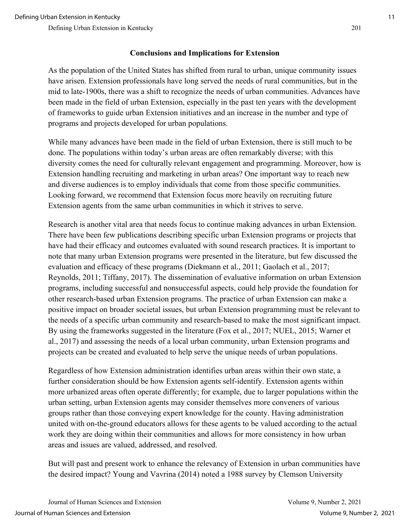#### **Conclusions and Implications for Extension**

As the population of the United States has shifted from rural to urban, unique community issues have arisen. Extension professionals have long served the needs of rural communities, but in the mid to late-1900s, there was a shift to recognize the needs of urban communities. Advances have been made in the field of urban Extension, especially in the past ten years with the development of frameworks to guide urban Extension initiatives and an increase in the number and type of programs and projects developed for urban populations.

While many advances have been made in the field of urban Extension, there is still much to be done. The populations within today's urban areas are often remarkably diverse; with this diversity comes the need for culturally relevant engagement and programming. Moreover, how is Extension handling recruiting and marketing in urban areas? One important way to reach new and diverse audiences is to employ individuals that come from those specific communities. Looking forward, we recommend that Extension focus more heavily on recruiting future Extension agents from the same urban communities in which it strives to serve.

Research is another vital area that needs focus to continue making advances in urban Extension. There have been few publications describing specific urban Extension programs or projects that have had their efficacy and outcomes evaluated with sound research practices. It is important to note that many urban Extension programs were presented in the literature, but few discussed the evaluation and efficacy of these programs (Diekmann et al., 2011; Gaolach et al., 2017; Reynolds, 2011; Tiffany, 2017). The dissemination of evaluative information on urban Extension programs, including successful and nonsuccessful aspects, could help provide the foundation for other research-based urban Extension programs. The practice of urban Extension can make a positive impact on broader societal issues, but urban Extension programming must be relevant to the needs of a specific urban community and research-based to make the most significant impact. By using the frameworks suggested in the literature (Fox et al., 2017; NUEL, 2015; Warner et al., 2017) and assessing the needs of a local urban community, urban Extension programs and projects can be created and evaluated to help serve the unique needs of urban populations.

Regardless of how Extension administration identifies urban areas within their own state, a further consideration should be how Extension agents self-identify. Extension agents within more urbanized areas often operate differently; for example, due to larger populations within the urban setting, urban Extension agents may consider themselves more conveners of various groups rather than those conveying expert knowledge for the county. Having administration united with on-the-ground educators allows for these agents to be valued according to the actual work they are doing within their communities and allows for more consistency in how urban areas and issues are valued, addressed, and resolved.

But will past and present work to enhance the relevancy of Extension in urban communities have the desired impact? Young and Vavrina (2014) noted a 1988 survey by Clemson University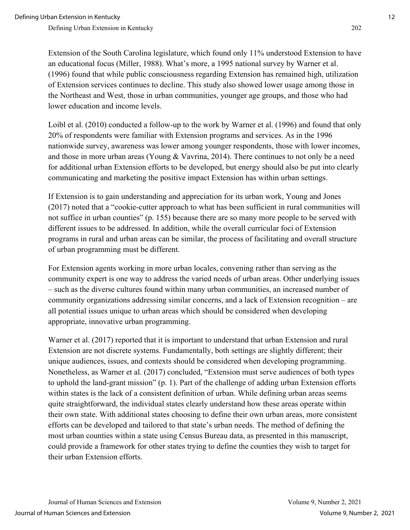Extension of the South Carolina legislature, which found only 11% understood Extension to have an educational focus (Miller, 1988). What's more, a 1995 national survey by Warner et al. (1996) found that while public consciousness regarding Extension has remained high, utilization of Extension services continues to decline. This study also showed lower usage among those in the Northeast and West, those in urban communities, younger age groups, and those who had lower education and income levels.

Loibl et al. (2010) conducted a follow-up to the work by Warner et al. (1996) and found that only 20% of respondents were familiar with Extension programs and services. As in the 1996 nationwide survey, awareness was lower among younger respondents, those with lower incomes, and those in more urban areas (Young & Vavrina, 2014). There continues to not only be a need for additional urban Extension efforts to be developed, but energy should also be put into clearly communicating and marketing the positive impact Extension has within urban settings.

If Extension is to gain understanding and appreciation for its urban work, Young and Jones (2017) noted that a "cookie-cutter approach to what has been sufficient in rural communities will not suffice in urban counties" (p. 155) because there are so many more people to be served with different issues to be addressed. In addition, while the overall curricular foci of Extension programs in rural and urban areas can be similar, the process of facilitating and overall structure of urban programming must be different.

For Extension agents working in more urban locales, convening rather than serving as the community expert is one way to address the varied needs of urban areas. Other underlying issues – such as the diverse cultures found within many urban communities, an increased number of community organizations addressing similar concerns, and a lack of Extension recognition – are all potential issues unique to urban areas which should be considered when developing appropriate, innovative urban programming.

Warner et al. (2017) reported that it is important to understand that urban Extension and rural Extension are not discrete systems. Fundamentally, both settings are slightly different; their unique audiences, issues, and contexts should be considered when developing programming. Nonetheless, as Warner et al. (2017) concluded, "Extension must serve audiences of both types to uphold the land-grant mission" (p. 1). Part of the challenge of adding urban Extension efforts within states is the lack of a consistent definition of urban. While defining urban areas seems quite straightforward, the individual states clearly understand how these areas operate within their own state. With additional states choosing to define their own urban areas, more consistent efforts can be developed and tailored to that state's urban needs. The method of defining the most urban counties within a state using Census Bureau data, as presented in this manuscript, could provide a framework for other states trying to define the counties they wish to target for their urban Extension efforts.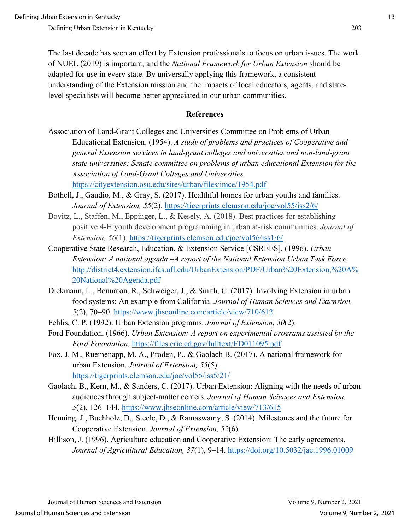The last decade has seen an effort by Extension professionals to focus on urban issues. The work of NUEL (2019) is important, and the *National Framework for Urban Extension* should be adapted for use in every state. By universally applying this framework, a consistent understanding of the Extension mission and the impacts of local educators, agents, and statelevel specialists will become better appreciated in our urban communities.

#### **References**

- Association of Land-Grant Colleges and Universities Committee on Problems of Urban Educational Extension. (1954). *A study of problems and practices of Cooperative and general Extension services in land-grant colleges and universities and non-land-grant state universities: Senate committee on problems of urban educational Extension for the Association of Land-Grant Colleges and Universities.* <https://cityextension.osu.edu/sites/urban/files/imce/1954.pdf>
- Bothell, J., Gaudio, M., & Gray, S. (2017). Healthful homes for urban youths and families. *Journal of Extension, 55*(2).<https://tigerprints.clemson.edu/joe/vol55/iss2/6/>
- Bovitz, L., Staffen, M., Eppinger, L., & Kesely, A. (2018). Best practices for establishing positive 4-H youth development programming in urban at-risk communities. *Journal of Extension, 56*(1).<https://tigerprints.clemson.edu/joe/vol56/iss1/6/>
- Cooperative State Research, Education, & Extension Service [CSREES]. (1996). *Urban Extension: A national agenda –A report of the National Extension Urban Task Force.*  [http://district4.extension.ifas.ufl.edu/UrbanExtension/PDF/Urban%20Extension,%20A%](http://district4.extension.ifas.ufl.edu/UrbanExtension/PDF/Urban%20Extension,%20A%20National%20Agenda.pdf) [20National%20Agenda.pdf](http://district4.extension.ifas.ufl.edu/UrbanExtension/PDF/Urban%20Extension,%20A%20National%20Agenda.pdf)
- Diekmann, L., Bennaton, R., Schweiger, J., & Smith, C. (2017). Involving Extension in urban food systems: An example from California. *Journal of Human Sciences and Extension, 5*(2), 70–90.<https://www.jhseonline.com/article/view/710/612>
- Fehlis, C. P. (1992). Urban Extension programs. *Journal of Extension, 30*(2).
- Ford Foundation. (1966). *Urban Extension: A report on experimental programs assisted by the Ford Foundation.* <https://files.eric.ed.gov/fulltext/ED011095.pdf>
- Fox, J. M., Ruemenapp, M. A., Proden, P., & Gaolach B. (2017). A national framework for urban Extension. *Journal of Extension, 55*(5). <https://tigerprints.clemson.edu/joe/vol55/iss5/21/>
- Gaolach, B., Kern, M., & Sanders, C. (2017). Urban Extension: Aligning with the needs of urban audiences through subject-matter centers. *Journal of Human Sciences and Extension, 5*(2), 126–144.<https://www.jhseonline.com/article/view/713/615>
- Henning, J., Buchholz, D., Steele, D., & Ramaswamy, S. (2014). Milestones and the future for Cooperative Extension. *Journal of Extension, 52*(6).
- Hillison, J. (1996). Agriculture education and Cooperative Extension: The early agreements. *Journal of Agricultural Education, 37*(1), 9–14.<https://doi.org/10.5032/jae.1996.01009>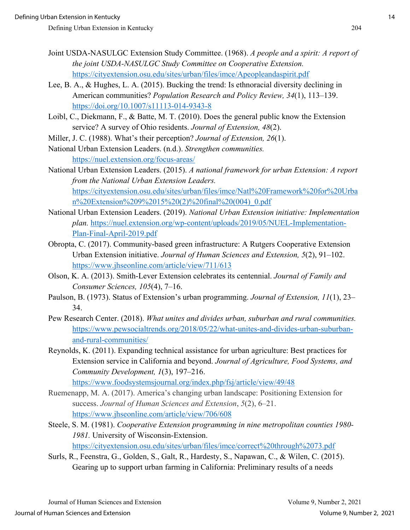- Joint USDA-NASULGC Extension Study Committee. (1968). *A people and a spirit: A report of the joint USDA-NASULGC Study Committee on Cooperative Extension.* <https://cityextension.osu.edu/sites/urban/files/imce/Apeopleandaspirit.pdf>
- Lee, B. A., & Hughes, L. A. (2015). Bucking the trend: Is ethnoracial diversity declining in American communities? *Population Research and Policy Review, 34*(1), 113–139. <https://doi.org/10.1007/s11113-014-9343-8>
- Loibl, C., Diekmann, F., & Batte, M. T. (2010). Does the general public know the Extension service? A survey of Ohio residents. *Journal of Extension, 48*(2).
- Miller, J. C. (1988). What's their perception? *Journal of Extension, 26*(1).
- National Urban Extension Leaders. (n.d.). *Strengthen communities.* <https://nuel.extension.org/focus-areas/>
- National Urban Extension Leaders. (2015). *A national framework for urban Extension: A report from the National Urban Extension Leaders.* [https://cityextension.osu.edu/sites/urban/files/imce/Natl%20Framework%20for%20Urba](https://cityextension.osu.edu/sites/urban/files/imce/Natl%20Framework%20for%20Urban%20Extension%209%2015%20(2)%20final%20(004)_0.pdf) [n%20Extension%209%2015%20\(2\)%20final%20\(004\)\\_0.pdf](https://cityextension.osu.edu/sites/urban/files/imce/Natl%20Framework%20for%20Urban%20Extension%209%2015%20(2)%20final%20(004)_0.pdf)
- National Urban Extension Leaders. (2019). *National Urban Extension initiative: Implementation plan.* [https://nuel.extension.org/wp-content/uploads/2019/05/NUEL-Implementation-](https://nuel.extension.org/wp-content/uploads/2019/05/NUEL-Implementation-Plan-Final-April-2019.pdf)[Plan-Final-April-2019.pdf](https://nuel.extension.org/wp-content/uploads/2019/05/NUEL-Implementation-Plan-Final-April-2019.pdf)
- Obropta, C. (2017). Community-based green infrastructure: A Rutgers Cooperative Extension Urban Extension initiative. *Journal of Human Sciences and Extension, 5*(2), 91–102. <https://www.jhseonline.com/article/view/711/613>
- Olson, K. A. (2013). Smith-Lever Extension celebrates its centennial. *Journal of Family and Consumer Sciences, 105*(4), 7–16.
- Paulson, B. (1973). Status of Extension's urban programming. *Journal of Extension, 11*(1), 23– 34.
- Pew Research Center. (2018). *What unites and divides urban, suburban and rural communities.* [https://www.pewsocialtrends.org/2018/05/22/what-unites-and-divides-urban-suburban](https://www.pewsocialtrends.org/2018/05/22/what-unites-and-divides-urban-suburban-and-rural-communities/)[and-rural-communities/](https://www.pewsocialtrends.org/2018/05/22/what-unites-and-divides-urban-suburban-and-rural-communities/)
- Reynolds, K. (2011). Expanding technical assistance for urban agriculture: Best practices for Extension service in California and beyond. *Journal of Agriculture, Food Systems, and Community Development, 1*(3), 197–216. <https://www.foodsystemsjournal.org/index.php/fsj/article/view/49/48>
- Ruemenapp, M. A. (2017). America's changing urban landscape: Positioning Extension for success. *Journal of Human Sciences and Extension*, *5*(2), 6–21. <https://www.jhseonline.com/article/view/706/608>
- Steele, S. M. (1981). *Cooperative Extension programming in nine metropolitan counties 1980- 1981.* University of Wisconsin-Extension. <https://cityextension.osu.edu/sites/urban/files/imce/correct%20through%2073.pdf>
- Surls, R., Feenstra, G., Golden, S., Galt, R., Hardesty, S., Napawan, C., & Wilen, C. (2015). Gearing up to support urban farming in California: Preliminary results of a needs